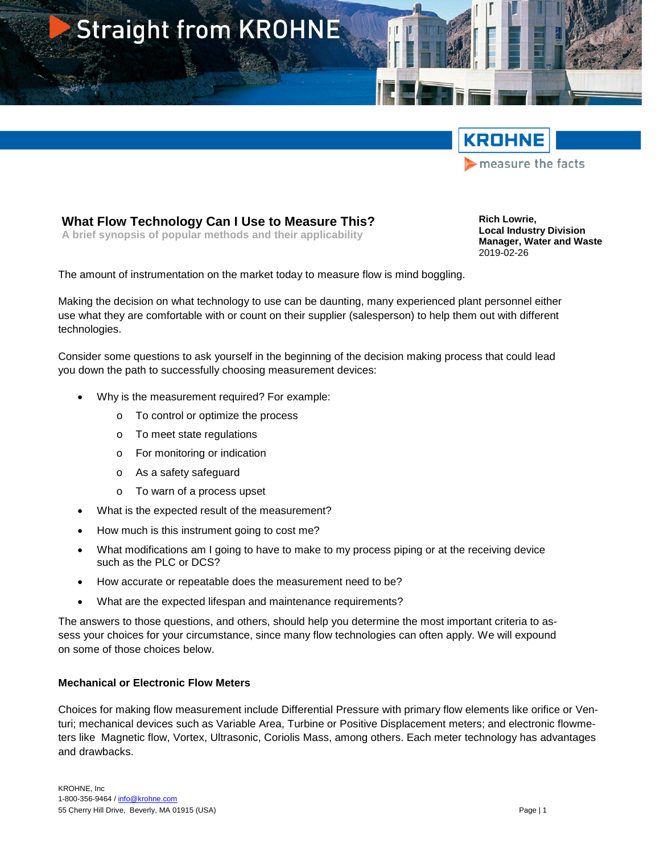



### **What Flow Technology Can I Use to Measure This?**

**A brief synopsis of popular methods and their applicability**

**Rich Lowrie, Local Industry Division Manager, Water and Waste** 2019-02-26

The amount of instrumentation on the market today to measure flow is mind boggling.

Making the decision on what technology to use can be daunting, many experienced plant personnel either use what they are comfortable with or count on their supplier (salesperson) to help them out with different technologies.

Consider some questions to ask yourself in the beginning of the decision making process that could lead you down the path to successfully choosing measurement devices:

- Why is the measurement required? For example:
	- o To control or optimize the process
	- o To meet state regulations
	- o For monitoring or indication
	- o As a safety safeguard
	- o To warn of a process upset
- What is the expected result of the measurement?
- How much is this instrument going to cost me?
- What modifications am I going to have to make to my process piping or at the receiving device such as the PLC or DCS?
- How accurate or repeatable does the measurement need to be?
- What are the expected lifespan and maintenance requirements?

The answers to those questions, and others, should help you determine the most important criteria to assess your choices for your circumstance, since many flow technologies can often apply. We will expound on some of those choices below.

#### **Mechanical or Electronic Flow Meters**

Choices for making flow measurement include Differential Pressure with primary flow elements like orifice or Venturi; mechanical devices such as Variable Area, Turbine or Positive Displacement meters; and electronic flowmeters like Magnetic flow, Vortex, Ultrasonic, Coriolis Mass, among others. Each meter technology has advantages and drawbacks.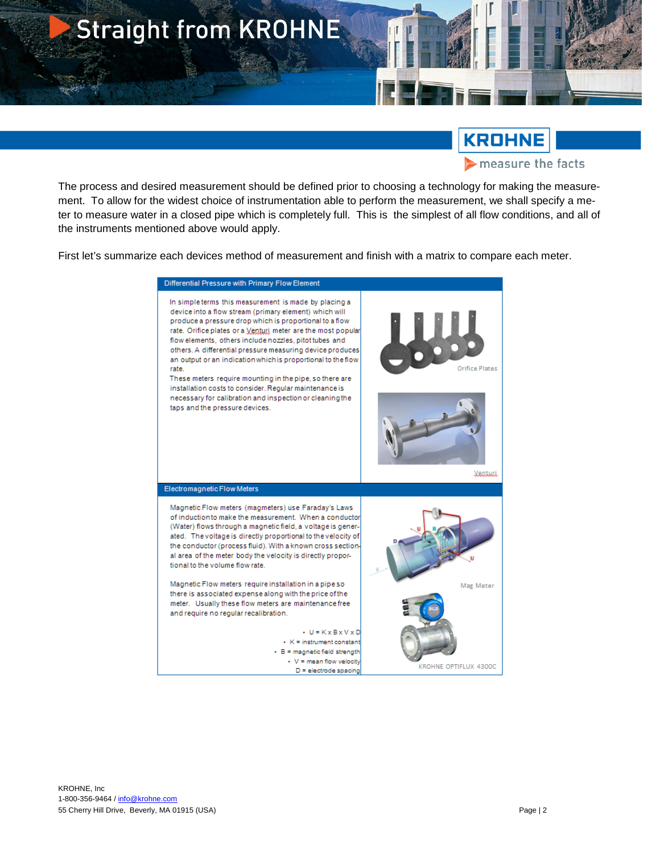

## **KROHNE**

measure the facts

The process and desired measurement should be defined prior to choosing a technology for making the measurement. To allow for the widest choice of instrumentation able to perform the measurement, we shall specify a meter to measure water in a closed pipe which is completely full. This is the simplest of all flow conditions, and all of the instruments mentioned above would apply.

First let's summarize each devices method of measurement and finish with a matrix to compare each meter.

| Differential Pressure with Primary Flow Element                                                                                                                                                                                                                                                                                                                                                                                                                                                                                                                                                                                                               |                           |
|---------------------------------------------------------------------------------------------------------------------------------------------------------------------------------------------------------------------------------------------------------------------------------------------------------------------------------------------------------------------------------------------------------------------------------------------------------------------------------------------------------------------------------------------------------------------------------------------------------------------------------------------------------------|---------------------------|
| In simple terms this measurement is made by placing a<br>device into a flow stream (primary element) which will<br>produce a pressure drop which is proportional to a flow<br>rate. Orifice plates or a Venturi meter are the most popular<br>flow elements, others include nozzles, pitot tubes and<br>others. A differential pressure measuring device produces<br>an output or an indication which is proportional to the flow<br>rate.<br>These meters require mounting in the pipe, so there are<br>installation costs to consider. Reqular maintenance is<br>necessary for calibration and inspection or cleaning the<br>taps and the pressure devices. | Orifice Plates<br>Veatuti |
| Electromagnetic Flow Meters                                                                                                                                                                                                                                                                                                                                                                                                                                                                                                                                                                                                                                   |                           |
| Magnetic Flow meters (magmeters) use Faraday's Laws<br>of induction to make the measurement. When a conductor<br>(Water) flows through a magnetic field, a voltage is gener-<br>ated. The voltage is directly proportional to the velocity of<br>the conductor (process fluid). With a known cross section-<br>al area of the meter body the velocity is directly propor-<br>tional to the volume flow rate.<br>Magnetic Flow meters require installation in a pipe so<br>there is associated expense along with the price of the<br>meter. Usually these flow meters are maintenance free                                                                    | Mag Meter                 |
| and require no reqular recalibration.<br>• U = K x B x V x D<br>$\cdot$ K = instrument constant<br>$\cdot$ B = magnetic field strength<br>• V = mean flow velocity<br>$D =$ electrode spacing                                                                                                                                                                                                                                                                                                                                                                                                                                                                 | KROHNE OPTIFLUX 4300C     |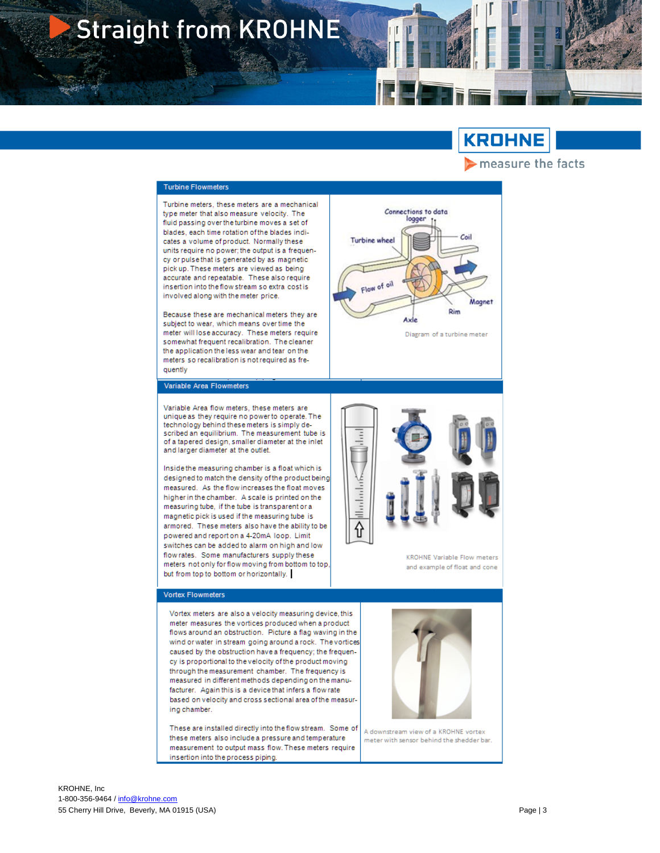# **Straight from KROHNE**

### **KROHNE**

Maane:

Rim

Diagram of a turbine meter

measure the facts

Connections to data

logger

Axle

**Turbine wheel** 

Flow

thadacta

⇧

of oil

#### **Turbine Flowmeters**

Turbine meters, these meters are a mechanical type meter that also measure velocity. The fluid passing over the turbine moves a set of blades, each time rotation of the blades indicates a volume of product. Normally these units require no power; the output is a frequency or pulse that is generated by as magnetic pick up. These meters are viewed as being accurate and repeatable. These also require insertion into the flow stream so extra cost is involved along with the meter price.

Because these are mechanical meters they are subject to wear, which means over time the meter will lose accuracy. These meters require somewhat frequent recalibration. The cleaner the application the less wear and tear on the meters so recalibration is not required as frequently

Variable Area Flowmeters

Variable Area flow meters, these meters are unique as they require no power to operate. The technology behind these meters is simply described an equilibrium. The measurement tube is of a tapered design, smaller diameter at the inlet and larger diameter at the outlet.

Inside the measuring chamber is a float which is designed to match the density of the product being measured. As the flow increases the float moves higher in the chamber. A scale is printed on the measuring tube, if the tube is transparent or a magnetic pick is used if the measuring tube is armored. These meters also have the ability to be powered and report on a 4-20mA loop. Limit switches can be added to alarm on high and low flow rates. Some manufacturers supply these meters not only for flow moving from bottom to top but from top to bottom or horizontally.

#### **Vortex Flowmeters**

Vortex meters are also a velocity measuring device, this meter measures the vortices produced when a product flows around an obstruction. Picture a flag waving in the wind or water in stream going around a rock. The vortices caused by the obstruction have a frequency; the frequency is proportional to the velocity of the product moving through the measurement chamber. The frequency is measured in different methods depending on the manufacturer. Again this is a device that infers a flow rate based on velocity and cross sectional area of the measuring chamber.

These are installed directly into the flow stream. Some of these meters also include a pressure and temperature measurement to output mass flow. These meters require insertion into the process piping.



KROHNE Variable Flow meters

and example of float and cone

A downstream view of a KROHNE vortex meter with sensor behind the shedder bar.